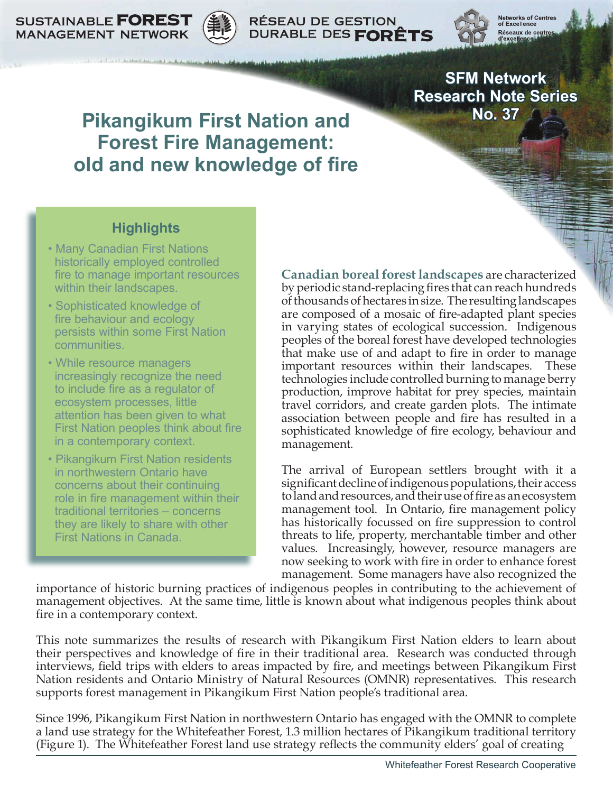



**RÉSEAU DE GESTION** DURABLE DES FORÊTS



Networks of Centi<br>of Excellence Réseaux de centre

**SFM Network Research Note Series No. 37**

# **Pikangikum First Nation and Forest Fire Management: old and new knowledge of fire**

# **Highlights**

- Many Canadian First Nations historically employed controlled fire to manage important resources within their landscapes.
- Sophisticated knowledge of fire behaviour and ecology persists within some First Nation communities.
- While resource managers increasingly recognize the need to include fire as a regulator of ecosystem processes, little attention has been given to what First Nation peoples think about fire in a contemporary context.
- Pikangikum First Nation residents in northwestern Ontario have concerns about their continuing role in fire management within their traditional territories – concerns they are likely to share with other First Nations in Canada.

**Canadian boreal forest landscapes** are characterized by periodic stand-replacing fires that can reach hundreds of thousands of hectares in size. The resulting landscapes are composed of a mosaic of fire-adapted plant species in varying states of ecological succession. Indigenous peoples of the boreal forest have developed technologies that make use of and adapt to fire in order to manage important resources within their landscapes. These technologies include controlled burning to manage berry production, improve habitat for prey species, maintain travel corridors, and create garden plots. The intimate association between people and fire has resulted in a sophisticated knowledge of fire ecology, behaviour and management.

The arrival of European settlers brought with it a significant decline of indigenous populations, their access to land and resources, and their use of fire as an ecosystem management tool. In Ontario, fire management policy has historically focussed on fire suppression to control threats to life, property, merchantable timber and other values. Increasingly, however, resource managers are now seeking to work with fire in order to enhance forest management. Some managers have also recognized the

importance of historic burning practices of indigenous peoples in contributing to the achievement of management objectives. At the same time, little is known about what indigenous peoples think about fire in a contemporary context.

This note summarizes the results of research with Pikangikum First Nation elders to learn about their perspectives and knowledge of fire in their traditional area. Research was conducted through interviews, field trips with elders to areas impacted by fire, and meetings between Pikangikum First Nation residents and Ontario Ministry of Natural Resources (OMNR) representatives. This research supports forest management in Pikangikum First Nation people's traditional area.

Since 1996, Pikangikum First Nation in northwestern Ontario has engaged with the OMNR to complete a land use strategy for the Whitefeather Forest, 1.3 million hectares of Pikangikum traditional territory (Figure 1). The Whitefeather Forest land use strategy reflects the community elders' goal of creating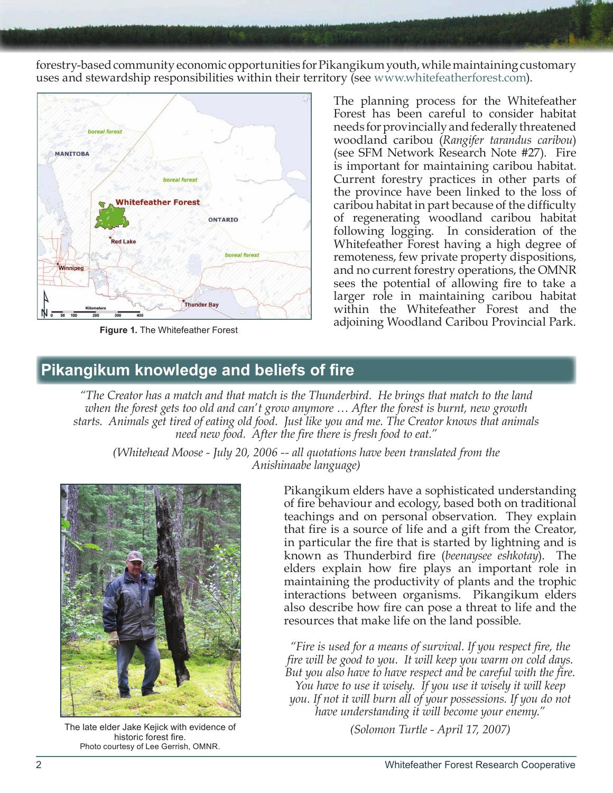forestry-based community economic opportunities for Pikangikum youth, while maintaining customary uses and stewardship responsibilities within their territory (see [www.whitefeatherforest.com\)](www.whitefeatherforest.com).



**Figure 1.** The Whitefeather Forest

The planning process for the Whitefeather Forest has been careful to consider habitat needs for provincially and federally threatened woodland caribou (*Rangifer tarandus caribou*) (see SFM Network Research Note #27). Fire is important for maintaining caribou habitat. Current forestry practices in other parts of the province have been linked to the loss of caribou habitat in part because of the difficulty of regenerating woodland caribou habitat following logging. In consideration of the Whitefeather Forest having a high degree of remoteness, few private property dispositions, and no current forestry operations, the OMNR sees the potential of allowing fire to take a larger role in maintaining caribou habitat within the Whitefeather Forest and the adjoining Woodland Caribou Provincial Park.

# **Pikangikum knowledge and beliefs of fire**

*"The Creator has a match and that match is the Thunderbird. He brings that match to the land when the forest gets too old and can't grow anymore … After the forest is burnt, new growth starts. Animals get tired of eating old food. Just like you and me. The Creator knows that animals need new food. After the fire there is fresh food to eat."* 

*(Whitehead Moose - July 20, 2006 -- all quotations have been translated from the Anishinaabe language)*



*(Solomon Turtle - April 17, 2007)* The late elder Jake Kejick with evidence of historic forest fire. Photo courtesy of Lee Gerrish, OMNR.

Pikangikum elders have a sophisticated understanding of fire behaviour and ecology, based both on traditional teachings and on personal observation. They explain that fire is a source of life and a gift from the Creator, in particular the fire that is started by lightning and is known as Thunderbird fire (*beenaysee eshkotay*). The elders explain how fire plays an important role in maintaining the productivity of plants and the trophic interactions between organisms. Pikangikum elders also describe how fire can pose a threat to life and the resources that make life on the land possible.

*"Fire is used for a means of survival. If you respect fire, the fire will be good to you. It will keep you warm on cold days. But you also have to have respect and be careful with the fire. You have to use it wisely. If you use it wisely it will keep you. If not it will burn all of your possessions. If you do not have understanding it will become your enemy."*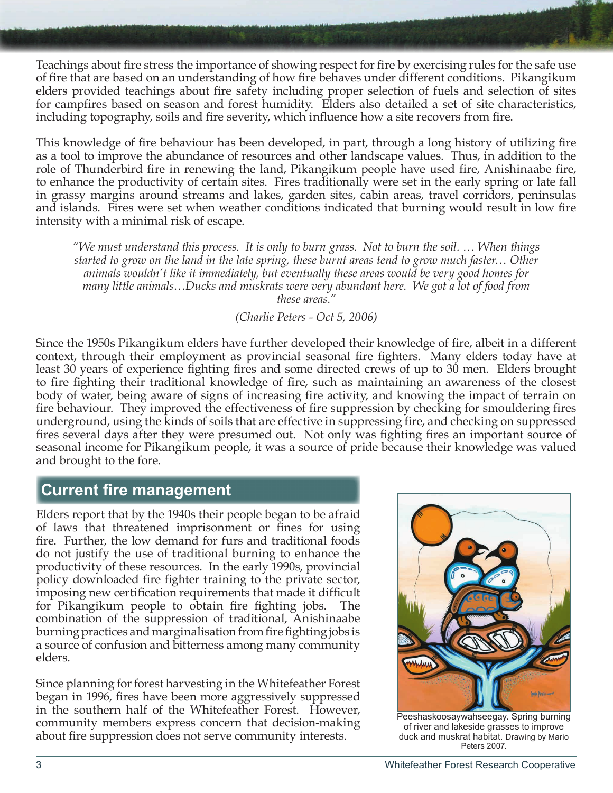Teachings about fire stress the importance of showing respect for fire by exercising rules for the safe use of fire that are based on an understanding of how fire behaves under different conditions. Pikangikum elders provided teachings about fire safety including proper selection of fuels and selection of sites for campfires based on season and forest humidity. Elders also detailed a set of site characteristics, including topography, soils and fire severity, which influence how a site recovers from fire.

This knowledge of fire behaviour has been developed, in part, through a long history of utilizing fire as a tool to improve the abundance of resources and other landscape values. Thus, in addition to the role of Thunderbird fire in renewing the land, Pikangikum people have used fire, Anishinaabe fire, to enhance the productivity of certain sites. Fires traditionally were set in the early spring or late fall in grassy margins around streams and lakes, garden sites, cabin areas, travel corridors, peninsulas and islands. Fires were set when weather conditions indicated that burning would result in low fire intensity with a minimal risk of escape.

*"We must understand this process. It is only to burn grass. Not to burn the soil. … When things started to grow on the land in the late spring, these burnt areas tend to grow much faster… Other animals wouldn't like it immediately, but eventually these areas would be very good homes for many little animals…Ducks and muskrats were very abundant here. We got a lot of food from these areas."*

#### *(Charlie Peters - Oct 5, 2006)*

Since the 1950s Pikangikum elders have further developed their knowledge of fire, albeit in a different context, through their employment as provincial seasonal fire fighters. Many elders today have at least 30 years of experience fighting fires and some directed crews of up to 30 men. Elders brought to fire fighting their traditional knowledge of fire, such as maintaining an awareness of the closest body of water, being aware of signs of increasing fire activity, and knowing the impact of terrain on fire behaviour. They improved the effectiveness of fire suppression by checking for smouldering fires underground, using the kinds of soils that are effective in suppressing fire, and checking on suppressed fires several days after they were presumed out. Not only was fighting fires an important source of seasonal income for Pikangikum people, it was a source of pride because their knowledge was valued and brought to the fore.

# **Current fire management**

Elders report that by the 1940s their people began to be afraid of laws that threatened imprisonment or fines for using fire. Further, the low demand for furs and traditional foods do not justify the use of traditional burning to enhance the productivity of these resources. In the early 1990s, provincial policy downloaded fire fighter training to the private sector, imposing new certification requirements that made it difficult for Pikangikum people to obtain fire fighting jobs. The combination of the suppression of traditional, Anishinaabe burning practices and marginalisation from fire fighting jobs is a source of confusion and bitterness among many community elders.

Since planning for forest harvesting in the Whitefeather Forest began in 1996, fires have been more aggressively suppressed in the southern half of the Whitefeather Forest. However, community members express concern that decision-making about fire suppression does not serve community interests.



Peeshaskoosaywahseegay. Spring burning of river and lakeside grasses to improve duck and muskrat habitat. Drawing by Mario Peters 2007.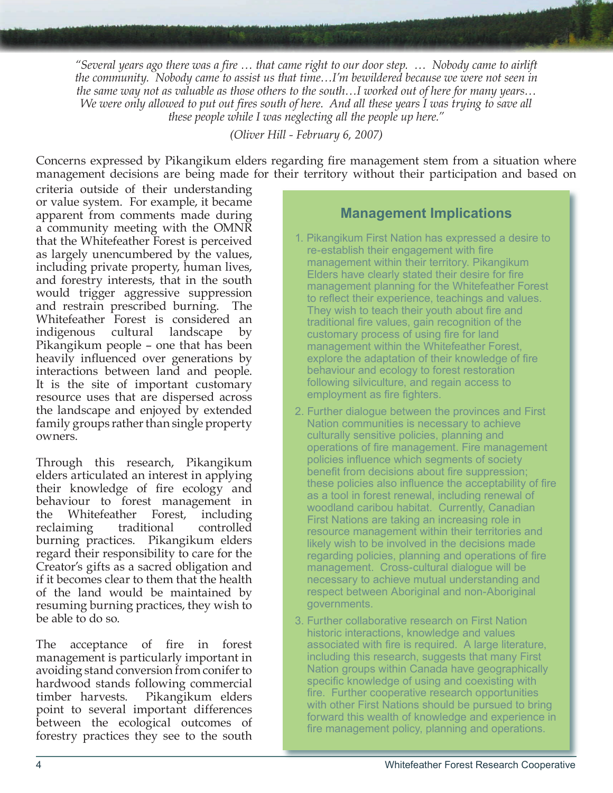*"Several years ago there was a fire … that came right to our door step. … Nobody came to airlift the community. Nobody came to assist us that time…I'm bewildered because we were not seen in the same way not as valuable as those others to the south…I worked out of here for many years… We were only allowed to put out fires south of here. And all these years I was trying to save all these people while I was neglecting all the people up here."*

*(Oliver Hill - February 6, 2007)*

Concerns expressed by Pikangikum elders regarding fire management stem from a situation where management decisions are being made for their territory without their participation and based on

criteria outside of their understanding or value system. For example, it became apparent from comments made during a community meeting with the OMNR that the Whitefeather Forest is perceived as largely unencumbered by the values, including private property, human lives, and forestry interests, that in the south would trigger aggressive suppression and restrain prescribed burning. The Whitefeather Forest is considered an indigenous cultural landscape by Pikangikum people – one that has been heavily influenced over generations by interactions between land and people. It is the site of important customary resource uses that are dispersed across the landscape and enjoyed by extended family groups rather than single property owners.

Through this research, Pikangikum elders articulated an interest in applying their knowledge of fire ecology and behaviour to forest management in the Whitefeather Forest, including reclaiming traditional controlled burning practices. Pikangikum elders regard their responsibility to care for the Creator's gifts as a sacred obligation and if it becomes clear to them that the health of the land would be maintained by resuming burning practices, they wish to be able to do so.

The acceptance of fire in forest management is particularly important in avoiding stand conversion from conifer to hardwood stands following commercial timber harvests. Pikangikum elders point to several important differences between the ecological outcomes of forestry practices they see to the south

#### **Management Implications**

- 1. Pikangikum First Nation has expressed a desire to re-establish their engagement with fire management within their territory. Pikangikum Elders have clearly stated their desire for fire management planning for the Whitefeather Forest to reflect their experience, teachings and values. They wish to teach their youth about fire and traditional fire values, gain recognition of the customary process of using fire for land management within the Whitefeather Forest, explore the adaptation of their knowledge of fire behaviour and ecology to forest restoration following silviculture, and regain access to employment as fire fighters.
- 2. Further dialogue between the provinces and First Nation communities is necessary to achieve culturally sensitive policies, planning and operations of fire management. Fire management policies influence which segments of society benefit from decisions about fire suppression; these policies also influence the acceptability of fire as a tool in forest renewal, including renewal of woodland caribou habitat. Currently, Canadian First Nations are taking an increasing role in resource management within their territories and likely wish to be involved in the decisions made regarding policies, planning and operations of fire management. Cross-cultural dialogue will be necessary to achieve mutual understanding and respect between Aboriginal and non-Aboriginal governments.
- 3. Further collaborative research on First Nation historic interactions, knowledge and values associated with fire is required. A large literature, including this research, suggests that many First Nation groups within Canada have geographically specific knowledge of using and coexisting with fire. Further cooperative research opportunities with other First Nations should be pursued to bring forward this wealth of knowledge and experience in fire management policy, planning and operations.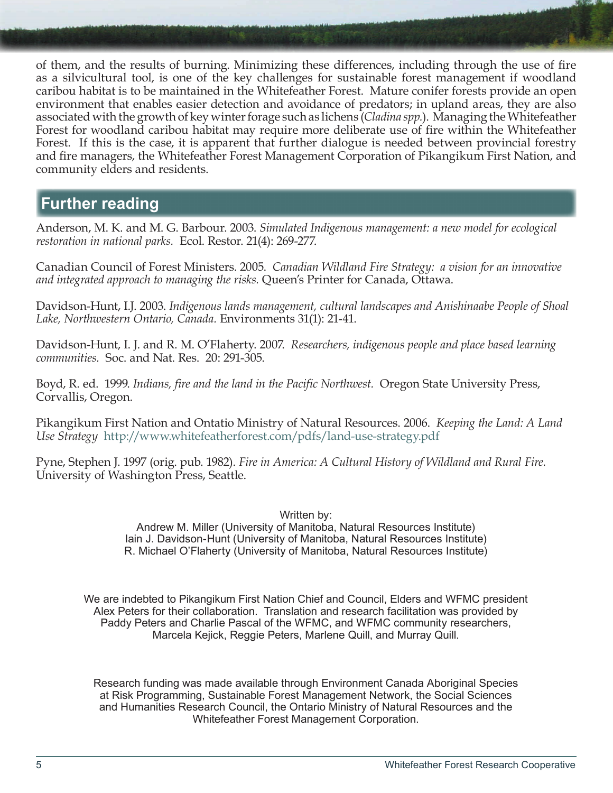of them, and the results of burning. Minimizing these differences, including through the use of fire as a silvicultural tool, is one of the key challenges for sustainable forest management if woodland caribou habitat is to be maintained in the Whitefeather Forest. Mature conifer forests provide an open environment that enables easier detection and avoidance of predators; in upland areas, they are also associated with the growth of key winter forage such as lichens (*Cladina spp.*). Managing the Whitefeather Forest for woodland caribou habitat may require more deliberate use of fire within the Whitefeather Forest. If this is the case, it is apparent that further dialogue is needed between provincial forestry and fire managers, the Whitefeather Forest Management Corporation of Pikangikum First Nation, and community elders and residents.

### **Further reading**

Anderson, M. K. and M. G. Barbour. 2003. *Simulated Indigenous management: a new model for ecological restoration in national parks.* Ecol. Restor. 21(4): 269-277.

Canadian Council of Forest Ministers. 2005. *Canadian Wildland Fire Strategy: a vision for an innovative and integrated approach to managing the risks.* Queen's Printer for Canada, Ottawa.

Davidson-Hunt, I.J. 2003. *Indigenous lands management, cultural landscapes and Anishinaabe People of Shoal Lake, Northwestern Ontario, Canada.* Environments 31(1): 21-41.

Davidson-Hunt, I. J. and R. M. O'Flaherty. 2007. *Researchers, indigenous people and place based learning communities.* Soc. and Nat. Res. 20: 291-305.

Boyd, R. ed. 1999. *Indians, fire and the land in the Pacific Northwest.* Oregon State University Press, Corvallis, Oregon.

Pikangikum First Nation and Ontatio Ministry of Natural Resources. 2006. *Keeping the Land: A Land Use Strategy* <http://www.whitefeatherforest.com/pdfs/land-use-strategy.pdf>

Pyne, Stephen J. 1997 (orig. pub. 1982). *Fire in America: A Cultural History of Wildland and Rural Fire.* University of Washington Press, Seattle.

Written by:

Andrew M. Miller (University of Manitoba, Natural Resources Institute) Iain J. Davidson-Hunt (University of Manitoba, Natural Resources Institute) R. Michael O'Flaherty (University of Manitoba, Natural Resources Institute)

We are indebted to Pikangikum First Nation Chief and Council, Elders and WFMC president Alex Peters for their collaboration. Translation and research facilitation was provided by Paddy Peters and Charlie Pascal of the WFMC, and WFMC community researchers, Marcela Kejick, Reggie Peters, Marlene Quill, and Murray Quill.

Research funding was made available through Environment Canada Aboriginal Species at Risk Programming, Sustainable Forest Management Network, the Social Sciences and Humanities Research Council, the Ontario Ministry of Natural Resources and the Whitefeather Forest Management Corporation.